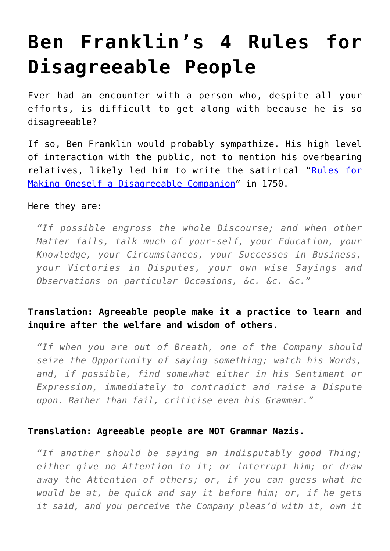# **[Ben Franklin's 4 Rules for](https://intellectualtakeout.org/2016/05/ben-franklins-4-rules-for-disagreeable-people/) [Disagreeable People](https://intellectualtakeout.org/2016/05/ben-franklins-4-rules-for-disagreeable-people/)**

Ever had an encounter with a person who, despite all your efforts, is difficult to get along with because he is so disagreeable?

If so, Ben Franklin would probably sympathize. His high level of interaction with the public, not to mention his overbearing relatives, likely led him to write the satirical "[Rules for](http://franklinpapers.org/franklin//framedVolumes.jsp?vol=4&page=073a) [Making Oneself a Disagreeable Companion](http://franklinpapers.org/franklin//framedVolumes.jsp?vol=4&page=073a)" in 1750.

#### Here they are:

*"If possible engross the whole Discourse; and when other Matter fails, talk much of your-self, your Education, your Knowledge, your Circumstances, your Successes in Business, your Victories in Disputes, your own wise Sayings and Observations on particular Occasions, &c. &c. &c."*

## **Translation: Agreeable people make it a practice to learn and inquire after the welfare and wisdom of others.**

*"If when you are out of Breath, one of the Company should seize the Opportunity of saying something; watch his Words, and, if possible, find somewhat either in his Sentiment or Expression, immediately to contradict and raise a Dispute upon. Rather than fail, criticise even his Grammar."*

### **Translation: Agreeable people are NOT Grammar Nazis.**

*"If another should be saying an indisputably good Thing; either give no Attention to it; or interrupt him; or draw away the Attention of others; or, if you can guess what he would be at, be quick and say it before him; or, if he gets it said, and you perceive the Company pleas'd with it, own it*